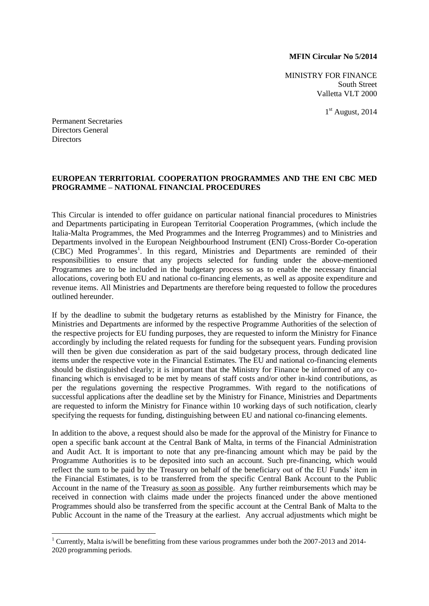## **MFIN Circular No 5/2014**

MINISTRY FOR FINANCE South Street Valletta VLT 2000

1<sup>st</sup> August, 2014

Permanent Secretaries Directors General Directors

1

## **EUROPEAN TERRITORIAL COOPERATION PROGRAMMES AND THE ENI CBC MED PROGRAMME – NATIONAL FINANCIAL PROCEDURES**

This Circular is intended to offer guidance on particular national financial procedures to Ministries and Departments participating in European Territorial Cooperation Programmes, (which include the Italia-Malta Programmes, the Med Programmes and the Interreg Programmes) and to Ministries and Departments involved in the European Neighbourhood Instrument (ENI) Cross-Border Co-operation (CBC) Med Programmes<sup>1</sup>. In this regard, Ministries and Departments are reminded of their responsibilities to ensure that any projects selected for funding under the above-mentioned Programmes are to be included in the budgetary process so as to enable the necessary financial allocations, covering both EU and national co-financing elements, as well as apposite expenditure and revenue items. All Ministries and Departments are therefore being requested to follow the procedures outlined hereunder.

If by the deadline to submit the budgetary returns as established by the Ministry for Finance, the Ministries and Departments are informed by the respective Programme Authorities of the selection of the respective projects for EU funding purposes, they are requested to inform the Ministry for Finance accordingly by including the related requests for funding for the subsequent years. Funding provision will then be given due consideration as part of the said budgetary process, through dedicated line items under the respective vote in the Financial Estimates. The EU and national co-financing elements should be distinguished clearly; it is important that the Ministry for Finance be informed of any cofinancing which is envisaged to be met by means of staff costs and/or other in-kind contributions, as per the regulations governing the respective Programmes. With regard to the notifications of successful applications after the deadline set by the Ministry for Finance, Ministries and Departments are requested to inform the Ministry for Finance within 10 working days of such notification, clearly specifying the requests for funding, distinguishing between EU and national co-financing elements.

In addition to the above, a request should also be made for the approval of the Ministry for Finance to open a specific bank account at the Central Bank of Malta, in terms of the Financial Administration and Audit Act. It is important to note that any pre-financing amount which may be paid by the Programme Authorities is to be deposited into such an account. Such pre-financing, which would reflect the sum to be paid by the Treasury on behalf of the beneficiary out of the EU Funds' item in the Financial Estimates, is to be transferred from the specific Central Bank Account to the Public Account in the name of the Treasury as soon as possible. Any further reimbursements which may be received in connection with claims made under the projects financed under the above mentioned Programmes should also be transferred from the specific account at the Central Bank of Malta to the Public Account in the name of the Treasury at the earliest. Any accrual adjustments which might be

<sup>&</sup>lt;sup>1</sup> Currently, Malta is/will be benefitting from these various programmes under both the 2007-2013 and 2014-2020 programming periods.